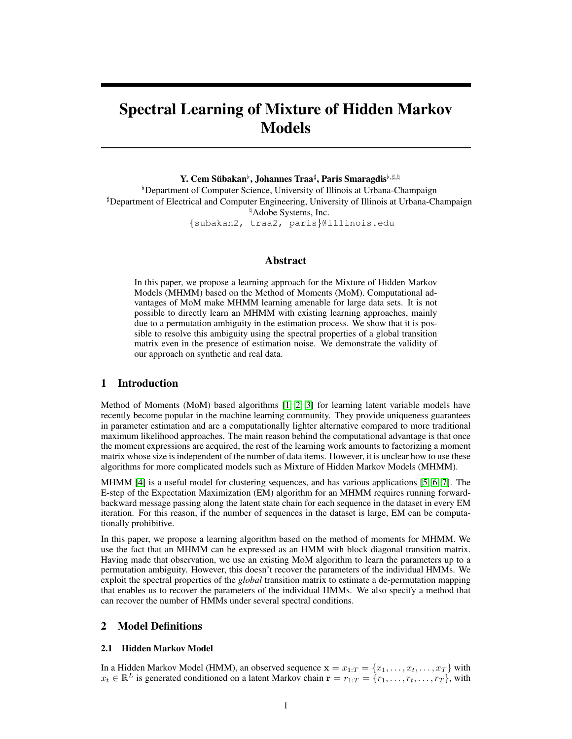# Spectral Learning of Mixture of Hidden Markov Models

# Y. Cem Sübakan<sup>þ</sup>, Johannes Traa<sup>‡</sup>, Paris Smaragdis<sup>þ,‡,ḥ</sup>

<sup>b</sup>Department of Computer Science, University of Illinois at Urbana-Champaign **Department of Electrical and Computer Engineering, University of Illinois at Urbana-Champaign**  $\mathbb{A}$  Adobe Systems, Inc. {subakan2, traa2, paris}@illinois.edu

# Abstract

In this paper, we propose a learning approach for the Mixture of Hidden Markov Models (MHMM) based on the Method of Moments (MoM). Computational advantages of MoM make MHMM learning amenable for large data sets. It is not possible to directly learn an MHMM with existing learning approaches, mainly due to a permutation ambiguity in the estimation process. We show that it is possible to resolve this ambiguity using the spectral properties of a global transition matrix even in the presence of estimation noise. We demonstrate the validity of our approach on synthetic and real data.

# 1 Introduction

Method of Moments (MoM) based algorithms [1, 2, 3] for learning latent variable models have recently become popular in the machine learning community. They provide uniqueness guarantees in parameter estimation and are a computationally lighter alternative compared to more traditional maximum likelihood approaches. The main reason behind the computational advantage is that once the moment expressions are acquired, the rest of the learning work amounts to factorizing a moment matrix whose size is independent of the number of data items. However, it is unclear how to use these algorithms for more complicated models such as Mixture of Hidden Markov Models (MHMM).

MHMM [4] is a useful model for clustering sequences, and has various applications [5, 6, 7]. The E-step of the Expectation Maximization (EM) algorithm for an MHMM requires running forwardbackward message passing along the latent state chain for each sequence in the dataset in every EM iteration. For this reason, if the number of sequences in the dataset is large, EM can be computationally prohibitive.

In this paper, we propose a learning algorithm based on the method of moments for MHMM. We use the fact that an MHMM can be expressed as an HMM with block diagonal transition matrix. Having made that observation, we use an existing MoM algorithm to learn the parameters up to a permutation ambiguity. However, this doesn't recover the parameters of the individual HMMs. We exploit the spectral properties of the *global* transition matrix to estimate a de-permutation mapping that enables us to recover the parameters of the individual HMMs. We also specify a method that can recover the number of HMMs under several spectral conditions.

# 2 Model Definitions

## 2.1 Hidden Markov Model

In a Hidden Markov Model (HMM), an observed sequence  $\mathbf{x} = x_{1:T} = \{x_1, \dots, x_t, \dots, x_T\}$  with  $x_t \in \mathbb{R}^L$  is generated conditioned on a latent Markov chain  $\mathbf{r} = r_{1:T} = \{r_1, \ldots, r_t, \ldots, r_T\}$ , with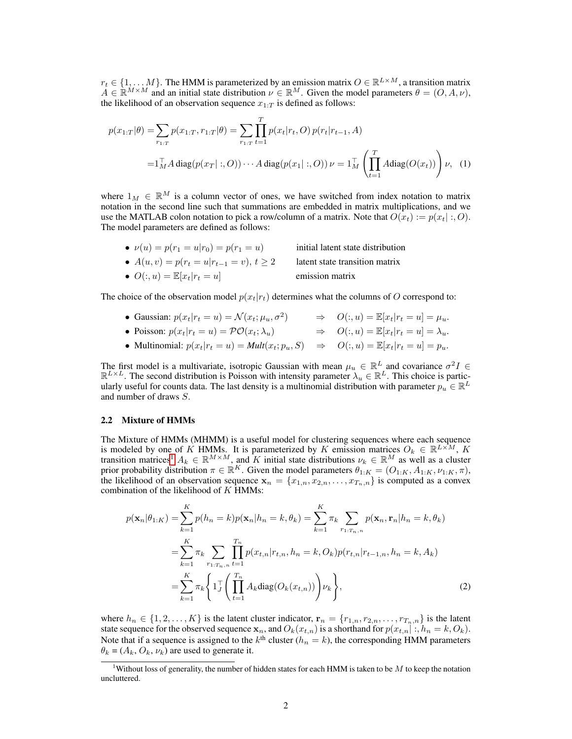$r_t \in \{1, ..., M\}$ . The HMM is parameterized by an emission matrix  $O \in \mathbb{R}^{L \times M}$ , a transition matrix  $A \in \mathbb{R}^{M \times M}$  and an initial state distribution  $\nu \in \mathbb{R}^M$ . Given the model parameters  $\theta = (O, A, \nu)$ , the likelihood of an observation sequence  $x_{1:T}$  is defined as follows:

$$
p(x_{1:T}|\theta) = \sum_{r_{1:T}} p(x_{1:T}, r_{1:T}|\theta) = \sum_{r_{1:T}} \prod_{t=1}^{T} p(x_t|r_t, O) p(r_t|r_{t-1}, A)
$$
  
=  $1_M^{\top} A \operatorname{diag}(p(x_T | :, O)) \cdots A \operatorname{diag}(p(x_1 | :, O)) \nu = 1_M^{\top} \left(\prod_{t=1}^{T} A \operatorname{diag}(O(x_t))\right) \nu, (1)$ 

where  $1_M \in \mathbb{R}^M$  is a column vector of ones, we have switched from index notation to matrix notation in the second line such that summations are embedded in matrix multiplications, and we use the MATLAB colon notation to pick a row/column of a matrix. Note that  $O(x_t) := p(x_t | :, O)$ . The model parameters are defined as follows:

•  $\nu(u) = p(r_1 = u | r_0) = p(r_1 = u)$  initial latent state distribution •  $A(u, v) = p(r_t = u | r_{t-1} = v), t > 2$  latent state transition matrix •  $O(:, u) = \mathbb{E}[x_t | r_t = u]$  emission matrix

The choice of the observation model  $p(x_t|r_t)$  determines what the columns of O correspond to:

- Gaussian:  $p(x_t|r_t = u) = \mathcal{N}(x_t; \mu_u, \sigma^2) \Rightarrow O(:, u) = \mathbb{E}[x_t|r_t = u] = \mu_u$ . • Poisson:  $p(x_t|r_t = u) = \mathcal{P}\mathcal{O}(x_t; \lambda_u) \Rightarrow O(:,u) = \mathbb{E}[x_t|r_t = u] = \lambda_u.$ • Multinomial:  $p(x_t|r_t = u) = Mult(x_t; p_u, S) \Rightarrow O(:, u) = \mathbb{E}[x_t|r_t = u] = p_u$ .
- The first model is a multivariate, isotropic Gaussian with mean  $\mu_u \in \mathbb{R}^L$  and covariance  $\sigma^2 I \in$

 $\mathbb{R}^{L\times L}$ . The second distribution is Poisson with intensity parameter  $\lambda_u \in \mathbb{R}^L$ . This choice is particularly useful for counts data. The last density is a multinomial distribution with parameter  $p_u \in \mathbb{R}^L$ and number of draws S.

#### 2.2 Mixture of HMMs

The Mixture of HMMs (MHMM) is a useful model for clustering sequences where each sequence is modeled by one of K HMMs. It is parameterized by K emission matrices  $O_k \in \mathbb{R}^{L \times M}$ , K transition matrices<sup>1</sup>  $A_k \in \mathbb{R}^{M \times M}$ , and K initial state distributions  $\nu_k \in \mathbb{R}^M$  as well as a cluster prior probability distribution  $\pi \in \mathbb{R}^K$ . Given the model parameters  $\theta_{1:K} = (O_{1:K}, A_{1:K}, \nu_{1:K}, \pi)$ , the likelihood of an observation sequence  $\mathbf{x}_n = \{x_{1,n}, x_{2,n}, \ldots, x_{T_n,n}\}$  is computed as a convex combination of the likelihood of K HMMs:

$$
p(\mathbf{x}_n | \theta_{1:K}) = \sum_{k=1}^K p(h_n = k) p(\mathbf{x}_n | h_n = k, \theta_k) = \sum_{k=1}^K \pi_k \sum_{r_{1:T_n,n}} p(\mathbf{x}_n, \mathbf{r}_n | h_n = k, \theta_k)
$$
  

$$
= \sum_{k=1}^K \pi_k \sum_{r_{1:T_n,n}} \prod_{t=1}^{T_n} p(x_{t,n} | r_{t,n}, h_n = k, O_k) p(r_{t,n} | r_{t-1,n}, h_n = k, A_k)
$$
  

$$
= \sum_{k=1}^K \pi_k \left\{ 1 \int\limits_{t=1}^T \left( \prod_{t=1}^{T_n} A_k \text{diag}(O_k(x_{t,n})) \right) \nu_k \right\},
$$
 (2)

where  $h_n \in \{1, 2, \ldots, K\}$  is the latent cluster indicator,  $\mathbf{r}_n = \{r_{1,n}, r_{2,n}, \ldots, r_{T_n,n}\}$  is the latent state sequence for the observed sequence  $x_n$ , and  $O_k(x_{t,n})$  is a shorthand for  $p(x_{t,n} | \cdot, h_n = k, O_k)$ . Note that if a sequence is assigned to the  $k^{\text{th}}$  cluster ( $h_n = k$ ), the corresponding HMM parameters  $\theta_k = (A_k, O_k, \nu_k)$  are used to generate it.

<sup>&</sup>lt;sup>1</sup>Without loss of generality, the number of hidden states for each HMM is taken to be M to keep the notation uncluttered.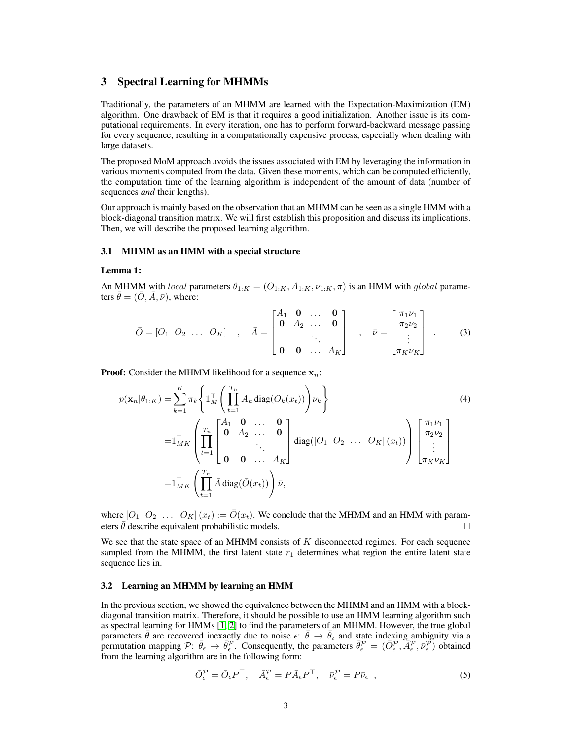# 3 Spectral Learning for MHMMs

Traditionally, the parameters of an MHMM are learned with the Expectation-Maximization (EM) algorithm. One drawback of EM is that it requires a good initialization. Another issue is its computational requirements. In every iteration, one has to perform forward-backward message passing for every sequence, resulting in a computationally expensive process, especially when dealing with large datasets.

The proposed MoM approach avoids the issues associated with EM by leveraging the information in various moments computed from the data. Given these moments, which can be computed efficiently, the computation time of the learning algorithm is independent of the amount of data (number of sequences *and* their lengths).

Our approach is mainly based on the observation that an MHMM can be seen as a single HMM with a block-diagonal transition matrix. We will first establish this proposition and discuss its implications. Then, we will describe the proposed learning algorithm.

## 3.1 MHMM as an HMM with a special structure

## Lemma 1:

An MHMM with *local* parameters  $\theta_{1:K} = (O_{1:K}, A_{1:K}, \nu_{1:K}, \pi)$  is an HMM with *global* parameters  $\bar{\theta} = (\bar{O}, \bar{A}, \bar{\nu})$ , where:

$$
\bar{O} = [O_1 \ O_2 \ \dots \ O_K] \quad , \quad \bar{A} = \begin{bmatrix} A_1 & \mathbf{0} & \dots & \mathbf{0} \\ \mathbf{0} & A_2 & \dots & \mathbf{0} \\ & & \ddots & \\ \mathbf{0} & \mathbf{0} & \dots & A_K \end{bmatrix} \quad , \quad \bar{\nu} = \begin{bmatrix} \pi_1 \nu_1 \\ \pi_2 \nu_2 \\ \vdots \\ \pi_K \nu_K \end{bmatrix} \quad . \tag{3}
$$

**Proof:** Consider the MHMM likelihood for a sequence  $x_n$ :

$$
p(\mathbf{x}_{n}|\theta_{1:K}) = \sum_{k=1}^{K} \pi_{k} \left\{ 1_{M}^{\top} \left( \prod_{t=1}^{T_{n}} A_{k} \operatorname{diag}(O_{k}(x_{t})) \right) \nu_{k} \right\}
$$
  
\n
$$
= 1_{MK}^{\top} \left( \prod_{t=1}^{T_{n}} \begin{bmatrix} A_{1} & \mathbf{0} & \dots & \mathbf{0} \\ \mathbf{0} & A_{2} & \dots & \mathbf{0} \\ & & \ddots & \\ \mathbf{0} & \mathbf{0} & \dots & A_{K} \end{bmatrix} \operatorname{diag}([O_{1} \ O_{2} \ \dots \ O_{K}] (x_{t})) \right) \begin{bmatrix} \pi_{1} \nu_{1} \\ \pi_{2} \nu_{2} \\ \vdots \\ \pi_{K} \nu_{K} \end{bmatrix}
$$
  
\n
$$
= 1_{MK}^{\top} \left( \prod_{t=1}^{T_{n}} \bar{A} \operatorname{diag}(\bar{O}(x_{t})) \right) \bar{\nu},
$$
\n(4)

where  $[O_1 \ O_2 \ \ldots \ O_K](x_t) := \overline{O}(x_t)$ . We conclude that the MHMM and an HMM with parameters  $\bar{\theta}$  describe equivalent probabilistic models.

We see that the state space of an MHMM consists of  $K$  disconnected regimes. For each sequence sampled from the MHMM, the first latent state  $r_1$  determines what region the entire latent state sequence lies in.

## 3.2 Learning an MHMM by learning an HMM

In the previous section, we showed the equivalence between the MHMM and an HMM with a blockdiagonal transition matrix. Therefore, it should be possible to use an HMM learning algorithm such as spectral learning for HMMs [1, 2] to find the parameters of an MHMM. However, the true global parameters  $\bar{\theta}$  are recovered inexactly due to noise  $\epsilon$ :  $\bar{\theta} \to \bar{\theta}_{\epsilon}$  and state indexing ambiguity via a permutation mapping  $\mathcal{P}$ :  $\bar{\theta}_{\epsilon} \to \bar{\theta}_{\epsilon}^{\mathcal{P}}$ . Consequently, the parameters  $\bar{\theta}_{\epsilon}^{\mathcal{P}} = (\bar{O}_{\epsilon}^{\mathcal{P}}, \bar{A}_{\epsilon}^{\mathcal{P}}, \bar{\nu}_{\epsilon}^{\mathcal{P}})$  obtained from the learning algorithm are in the following form:

$$
\bar{O}_{\epsilon}^{\mathcal{P}} = \bar{O}_{\epsilon} P^{\top}, \quad \bar{A}_{\epsilon}^{\mathcal{P}} = P \bar{A}_{\epsilon} P^{\top}, \quad \bar{\nu}_{\epsilon}^{\mathcal{P}} = P \bar{\nu}_{\epsilon} \quad , \tag{5}
$$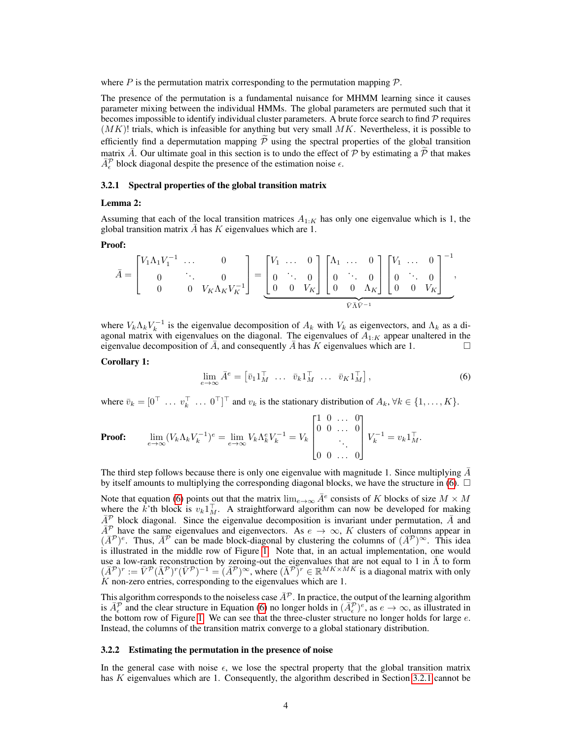where  $P$  is the permutation matrix corresponding to the permutation mapping  $P$ .

The presence of the permutation is a fundamental nuisance for MHMM learning since it causes parameter mixing between the individual HMMs. The global parameters are permuted such that it becomes impossible to identify individual cluster parameters. A brute force search to find  $P$  requires  $(MK)$ ! trials, which is infeasible for anything but very small  $MK$ . Nevertheless, it is possible to efficiently find a depermutation mapping  $\tilde{\mathcal{P}}$  using the spectral properties of the global transition matrix  $\bar{A}$ . Our ultimate goal in this section is to undo the effect of P by estimating a  $\tilde{P}$  that makes  $\bar{A}_{\epsilon}^{\mathcal{P}}$  block diagonal despite the presence of the estimation noise  $\epsilon$ .

## 3.2.1 Spectral properties of the global transition matrix

#### Lemma 2:

Assuming that each of the local transition matrices  $A_{1:K}$  has only one eigenvalue which is 1, the global transition matrix  $\overline{A}$  has  $K$  eigenvalues which are 1.

## Proof:

$$
\bar{A} = \begin{bmatrix} V_1 \Lambda_1 V_1^{-1} & \dots & 0 \\ 0 & \ddots & 0 \\ 0 & 0 & V_K \Lambda_K V_K^{-1} \end{bmatrix} = \underbrace{\begin{bmatrix} V_1 & \dots & 0 \\ 0 & \ddots & 0 \\ 0 & 0 & V_K \end{bmatrix}}_{\text{V}_K} \begin{bmatrix} \Lambda_1 & \dots & 0 \\ 0 & \ddots & 0 \\ 0 & 0 & \Lambda_K \end{bmatrix} \begin{bmatrix} V_1 & \dots & 0 \\ 0 & \ddots & 0 \\ 0 & 0 & V_K \end{bmatrix}^{-1},
$$

where  $V_k \Lambda_k V_k^{-1}$  is the eigenvalue decomposition of  $A_k$  with  $V_k$  as eigenvectors, and  $\Lambda_k$  as a diagonal matrix with eigenvalues on the diagonal. The eigenvalues of  $A_{1:K}$  appear unaltered in the eigenvalue decomposition of  $\overline{A}$ , and consequently  $\overline{A}$  has K eigenvalues which are 1.

#### Corollary 1:

$$
\lim_{e \to \infty} \bar{A}^e = \begin{bmatrix} \bar{v}_1 1_M^\top & \dots & \bar{v}_k 1_M^\top & \dots & \bar{v}_K 1_M^\top \end{bmatrix},\tag{6}
$$

where  $\bar{v}_k = [0^\top \dots v_k^\top \dots 0^\top]^\top$  and  $v_k$  is the stationary distribution of  $A_k$ ,  $\forall k \in \{1, \dots, K\}$ .

**Proof:** 
$$
\lim_{e \to \infty} (V_k \Lambda_k V_k^{-1})^e = \lim_{e \to \infty} V_k \Lambda_k^e V_k^{-1} = V_k \begin{bmatrix} 1 & 0 & \cdots & 0 \\ 0 & 0 & \cdots & 0 \\ & & \ddots & \\ 0 & 0 & \cdots & 0 \end{bmatrix} V_k^{-1} = v_k 1_M^{\top}.
$$

The third step follows because there is only one eigenvalue with magnitude 1. Since multiplying  $\overline{A}$ by itself amounts to multiplying the corresponding diagonal blocks, we have the structure in (6).  $\Box$ 

Note that equation (6) points out that the matrix  $\lim_{e\to\infty} \overline{A}^e$  consists of K blocks of size  $M \times M$ where the  $\hat{k}$ 'th block is  $v_k 1_M^{\top}$ . A straightforward algorithm can now be developed for making  $\bar{A}^{\mathcal{P}}$  block diagonal. Since the eigenvalue decomposition is invariant under permutation,  $\bar{A}$  and  $\bar{A}^{\mathcal{P}}$  have the same eigenvalues and eigenvectors. As  $e \to \infty$ , K clusters of columns appear in  $(\bar{A}^{\mathcal{P}})^e$ . Thus,  $\bar{A}^{\mathcal{P}}$  can be made block-diagonal by clustering the columns of  $(\bar{A}^{\mathcal{P}})^{\infty}$ . This idea is illustrated in the middle row of Figure 1. Note that, in an actual implementation, one would use a low-rank reconstruction by zeroing-out the eigenvalues that are not equal to 1 in  $\bar{\Lambda}$  to form  $(\bar{A}^{\mathcal{P}})^r := \bar{V}^{\mathcal{P}}(\bar{\Lambda}^{\mathcal{P}})^r (\bar{V}^{\mathcal{P}})^{-1} = (\bar{A}^{\mathcal{P}})^{\infty}$ , where  $(\bar{\Lambda}^{\mathcal{P}})^r \in \mathbb{R}^{MK \times MK}$  is a diagonal matrix with only  $K$  non-zero entries, corresponding to the eigenvalues which are  $1$ .

This algorithm corresponds to the noiseless case  $\bar{A}^{\mathcal{P}}$ . In practice, the output of the learning algorithm is  $\bar{A}_{\epsilon}^{\mathcal{P}}$  and the clear structure in Equation (6) no longer holds in  $(\bar{A}_{\epsilon}^{\mathcal{P}})^e$ , as  $e \to \infty$ , as illustrated in the bottom row of Figure 1. We can see that the three-cluster structure no longer holds for large  $e$ . Instead, the columns of the transition matrix converge to a global stationary distribution.

#### 3.2.2 Estimating the permutation in the presence of noise

In the general case with noise  $\epsilon$ , we lose the spectral property that the global transition matrix has K eigenvalues which are 1. Consequently, the algorithm described in Section 3.2.1 cannot be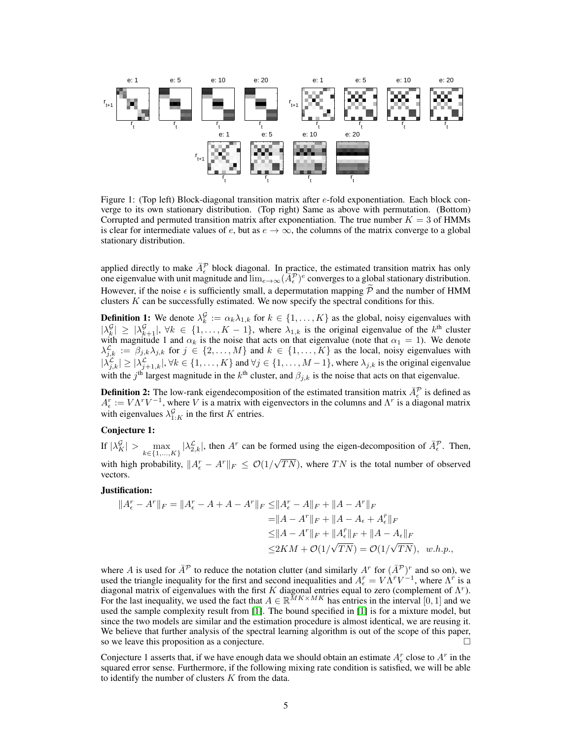

Figure 1: (Top left) Block-diagonal transition matrix after  $e$ -fold exponentiation. Each block converge to its own stationary distribution. (Top right) Same as above with permutation. (Bottom) Corrupted and permuted transition matrix after exponentiation. The true number  $K = 3$  of HMMs is clear for intermediate values of e, but as  $e \rightarrow \infty$ , the columns of the matrix converge to a global stationary distribution.

applied directly to make  $\bar{A}_{\epsilon}^{\mathcal{P}}$  block diagonal. In practice, the estimated transition matrix has only one eigenvalue with unit magnitude and  $\lim_{\epsilon\to\infty} (\bar{A}_{\epsilon}^{\mathcal{P}})^e$  converges to a global stationary distribution. However, if the noise  $\epsilon$  is sufficiently small, a depermutation mapping  $\hat{\mathcal{P}}$  and the number of HMM clusters K can be successfully estimated. We now specify the spectral conditions for this.

**Definition 1:** We denote  $\lambda_k^{\mathcal{G}} := \alpha_k \lambda_{1,k}$  for  $k \in \{1, ..., K\}$  as the global, noisy eigenvalues with  $|\lambda_k^{\mathcal{G}}| \geq |\lambda_{k+1}^{\mathcal{G}}|, \forall k \in \{1, ..., K-1\}$ , where  $\lambda_{1,k}$  is the original eigenvalue of the  $k^{\text{th}}$  cluster with magnitude 1 and  $\alpha_k$  is the noise that acts on that eigenvalue (note that  $\alpha_1 = 1$ ). We denote  $\lambda_{j,k}^{\mathcal{L}} := \beta_{j,k}\lambda_{j,k}$  for  $j \in \{2,\ldots,M\}$  and  $k \in \{1,\ldots,K\}$  as the local, noisy eigenvalues with  $|\lambda_{j,k}^{\mathcal{L}}| \geq |\lambda_{j+1,k}^{\mathcal{L}}|, \forall k \in \{1,\ldots,K\}$  and  $\forall j \in \{1,\ldots,M-1\}$ , where  $\lambda_{j,k}$  is the original eigenvalue with the j<sup>th</sup> largest magnitude in the  $k<sup>th</sup>$  cluster, and  $\beta_{j,k}$  is the noise that acts on that eigenvalue.

**Definition 2:** The low-rank eigendecomposition of the estimated transition matrix  $\bar{A}_{\epsilon}^{\mathcal{P}}$  is defined as  $A_{\epsilon}^r := V \Lambda^r V^{-1}$ , where V is a matrix with eigenvectors in the columns and  $\Lambda^r$  is a diagonal matrix with eigenvalues  $\lambda_{1:K}^{\mathcal{G}}$  in the first K entries.

# Conjecture 1:

If  $|\lambda_K^{\mathcal{G}}| > \max_{k \in \{1, ..., K\}} |\lambda_{2,k}^{\mathcal{L}}|$ , then  $A^r$  can be formed using the eigen-decomposition of  $\overline{A}_{\epsilon}^{\mathcal{P}}$ . Then, with high probability,  $||A_{\epsilon}^r - A^r||_F \leq \mathcal{O}(1/\sqrt{TN})$ , where TN is the total number of observed √ vectors.

#### Justification:

$$
||A_{\epsilon}^{r} - A^{r}||_{F} = ||A_{\epsilon}^{r} - A + A - A^{r}||_{F} \le ||A_{\epsilon}^{r} - A||_{F} + ||A - A^{r}||_{F}
$$
  
\n
$$
= ||A - A^{r}||_{F} + ||A - A_{\epsilon} + A_{\epsilon}^{\bar{r}}||_{F}
$$
  
\n
$$
\le ||A - A^{r}||_{F} + ||A_{\epsilon}^{\bar{r}}||_{F} + ||A - A_{\epsilon}||_{F}
$$
  
\n
$$
\le 2KM + \mathcal{O}(1/\sqrt{TN}) = \mathcal{O}(1/\sqrt{TN}), \quad w.h.p.,
$$

where A is used for  $\bar{A}^{\mathcal{P}}$  to reduce the notation clutter (and similarly  $A^r$  for  $(\bar{A}^{\mathcal{P}})^r$  and so on), we used the triangle inequality for the first and second inequalities and  $A_{\epsilon}^{\bar{r}} = V \dot{\Lambda}^{\bar{r}} V^{-1}$ , where  $\Lambda^{\bar{r}}$  is a diagonal matrix of eigenvalues with the first K diagonal entries equal to zero (complement of  $\Lambda^r$ ). For the last inequality, we used the fact that  $A \in \mathbb{R}^{MK \times MK}$  has entries in the interval [0, 1] and we used the sample complexity result from [1]. The bound specified in [1] is for a mixture model, but since the two models are similar and the estimation procedure is almost identical, we are reusing it. We believe that further analysis of the spectral learning algorithm is out of the scope of this paper, so we leave this proposition as a conjecture.

Conjecture 1 asserts that, if we have enough data we should obtain an estimate  $A_{\epsilon}^{r}$  close to  $A^{r}$  in the squared error sense. Furthermore, if the following mixing rate condition is satisfied, we will be able to identify the number of clusters  $K$  from the data.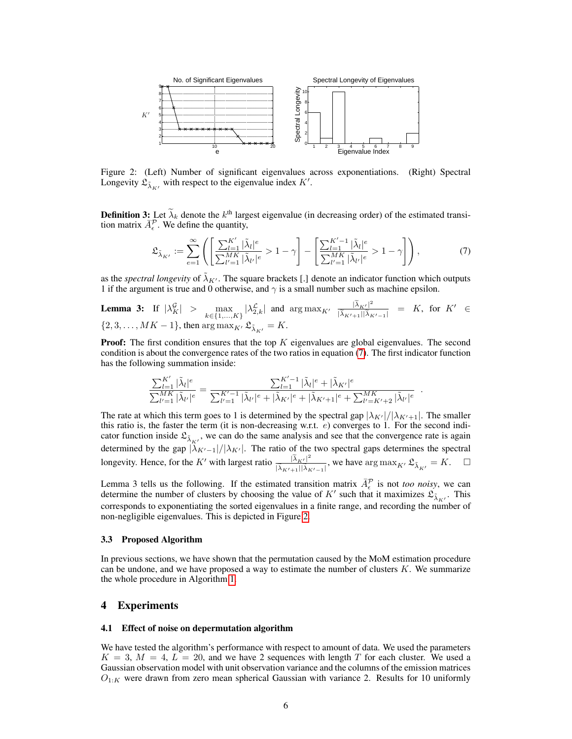

Figure 2: (Left) Number of significant eigenvalues across exponentiations. (Right) Spectral Longevity  $\mathfrak{L}_{\tilde{\lambda}_{K'}}$  with respect to the eigenvalue index  $K'.$ 

**Definition 3:** Let  $\lambda_k$  denote the  $k^{\text{th}}$  largest eigenvalue (in decreasing order) of the estimated transition matrix  $\bar{A}_{\epsilon}^{\mathcal{P}}$ . We define the quantity,

$$
\mathfrak{L}_{\tilde{\lambda}_{K'}} := \sum_{e=1}^{\infty} \left( \left[ \frac{\sum_{l=1}^{K'} |\tilde{\lambda}_l|^e}{\sum_{l'=1}^{MK} |\tilde{\lambda}_{l'}|^e} > 1 - \gamma \right] - \left[ \frac{\sum_{l=1}^{K'-1} |\tilde{\lambda}_l|^e}{\sum_{l'=1}^{MK} |\tilde{\lambda}_{l'}|^e} > 1 - \gamma \right] \right),\tag{7}
$$

as the *spectral longevity* of  $\tilde{\lambda}_{K'}$ . The square brackets [.] denote an indicator function which outputs 1 if the argument is true and 0 otherwise, and  $\gamma$  is a small number such as machine epsilon.

**Lemma 3:** If  $|\lambda_K^{\mathcal{G}}| > \max_{k \in \{1, ..., K\}} |\lambda_{2,k}^{\mathcal{L}}|$  and  $\arg \max_{K'} \frac{|\tilde{\lambda}_{K'}|^2}{|\tilde{\lambda}_{K'+1}| |\tilde{\lambda}_{K'}}$  $\frac{|\lambda_{K'}|^2}{|\widetilde{\lambda}_{K'+1}| \widetilde{\lambda}_{K'-1}|}$  = K, for  $K' \in$  $\{2, 3, \ldots, MK - 1\}$ , then  $\arg \max_{K'} \mathfrak{L}_{\tilde{\lambda}_{K'}} = K$ .

**Proof:** The first condition ensures that the top K eigenvalues are global eigenvalues. The second condition is about the convergence rates of the two ratios in equation (7). The first indicator function has the following summation inside:

$$
\frac{\sum_{l=1}^{K'}|\tilde{\lambda}_l|^e}{\sum_{l'=1}^{MK}|\tilde{\lambda}_{l'}|^e}=\frac{\sum_{l=1}^{K'-1}|\tilde{\lambda}_l|^e+|\tilde{\lambda}_{K'}|^e}{\sum_{l'=1}^{M'}|\tilde{\lambda}_{l'}|^e+|\tilde{\lambda}_{K'}|^e+|\tilde{\lambda}_{K'+1}|^e+\sum_{l'=K'+2}^{MK}|\tilde{\lambda}_{l'}|^e}
$$

.

The rate at which this term goes to 1 is determined by the spectral gap  $|\lambda_{K'}|/|\lambda_{K'+1}|$ . The smaller this ratio is, the faster the term (it is non-decreasing w.r.t.  $e$ ) converges to 1. For the second indicator function inside  $\mathfrak{L}_{\tilde{\lambda}_{K'}}$ , we can do the same analysis and see that the convergence rate is again determined by the gap  $|\lambda_{K'-1}|/|\lambda_{K'}|$ . The ratio of the two spectral gaps determines the spectral longevity. Hence, for the K' with largest ratio  $\frac{|\widetilde{\lambda}_{K'}|^2}{\sqrt{2}}$  $\frac{|\lambda_{K'}|^2}{|\tilde{\lambda}_{K'+1}||\tilde{\lambda}_{K'-1}|}$ , we have  $\arg \max_{K'} \mathfrak{L}_{\tilde{\lambda}_{K'}} = K$ .  $\Box$ 

Lemma 3 tells us the following. If the estimated transition matrix  $\bar{A}_{\epsilon}^{\mathcal{P}}$  is not *too noisy*, we can determine the number of clusters by choosing the value of K' such that it maximizes  $\mathfrak{L}_{\tilde{\lambda}_{K'}}$ . This corresponds to exponentiating the sorted eigenvalues in a finite range, and recording the number of non-negligible eigenvalues. This is depicted in Figure 2.

## 3.3 Proposed Algorithm

In previous sections, we have shown that the permutation caused by the MoM estimation procedure can be undone, and we have proposed a way to estimate the number of clusters  $K$ . We summarize the whole procedure in Algorithm 1.

# 4 Experiments

## 4.1 Effect of noise on depermutation algorithm

We have tested the algorithm's performance with respect to amount of data. We used the parameters  $K = 3$ ,  $M = 4$ ,  $L = 20$ , and we have 2 sequences with length T for each cluster. We used a Gaussian observation model with unit observation variance and the columns of the emission matrices  $O_{1:K}$  were drawn from zero mean spherical Gaussian with variance 2. Results for 10 uniformly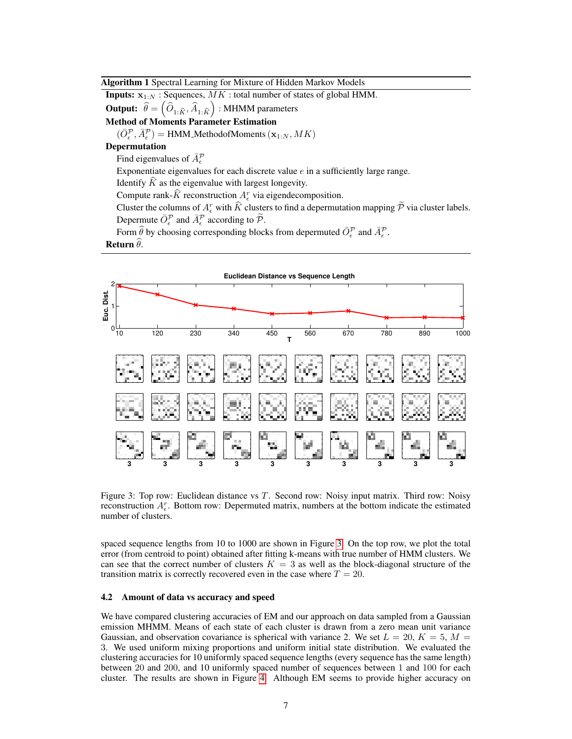# Algorithm 1 Spectral Learning for Mixture of Hidden Markov Models

**Inputs:**  $x_{1:N}$ : Sequences,  $MK$ : total number of states of global HMM.

**Output:**  $\widehat{\theta} = \left(\widehat{O}_{1:\widehat{K}}, \widehat{A}_{1:\widehat{K}}\right)$ : MHMM parameters

Method of Moments Parameter Estimation

 $(\bar{O}_{\epsilon}^{\mathcal{P}}, \bar{A}_{\epsilon}^{\mathcal{P}}) =$  HMM\_MethodofMoments  $(\mathbf{x}_{1:N}, MK)$ 

# Depermutation

Find eigenvalues of  $\bar{A}^{\mathcal{P}}_{\epsilon}$ 

Exponentiate eigenvalues for each discrete value  $e$  in a sufficiently large range.

Identify  $\hat{K}$  as the eigenvalue with largest longevity.

Compute rank- $\hat{K}$  reconstruction  $A_{\epsilon}^{r}$  via eigendecomposition.

Cluster the columns of  $A_{\iota}^r$  with  $\widehat{K}$  clusters to find a depermutation mapping  $\widetilde{\mathcal{P}}$  via cluster labels. Depermute  $\overline{O}_{\epsilon}^{\mathcal{P}}$  and  $\overline{A}_{\epsilon}^{\mathcal{P}}$  according to  $\widetilde{\mathcal{P}}$ .

Form  $\widehat{\theta}$  by choosing corresponding blocks from depermuted  $\overline{O}_{\epsilon}^{\mathcal{P}}$  and  $\overline{A}_{\epsilon}^{\mathcal{P}}$ .

Return  $\hat{\theta}$ .



Figure 3: Top row: Euclidean distance vs T. Second row: Noisy input matrix. Third row: Noisy reconstruction  $A_{\epsilon}^{r}$ . Bottom row: Depermuted matrix, numbers at the bottom indicate the estimated number of clusters.

spaced sequence lengths from 10 to 1000 are shown in Figure 3. On the top row, we plot the total error (from centroid to point) obtained after fitting k-means with true number of HMM clusters. We can see that the correct number of clusters  $K = 3$  as well as the block-diagonal structure of the transition matrix is correctly recovered even in the case where  $T = 20$ .

## 4.2 Amount of data vs accuracy and speed

We have compared clustering accuracies of EM and our approach on data sampled from a Gaussian emission MHMM. Means of each state of each cluster is drawn from a zero mean unit variance Gaussian, and observation covariance is spherical with variance 2. We set  $L = 20, K = 5, M =$ 3. We used uniform mixing proportions and uniform initial state distribution. We evaluated the clustering accuracies for 10 uniformly spaced sequence lengths (every sequence has the same length) between 20 and 200, and 10 uniformly spaced number of sequences between 1 and 100 for each cluster. The results are shown in Figure 4. Although EM seems to provide higher accuracy on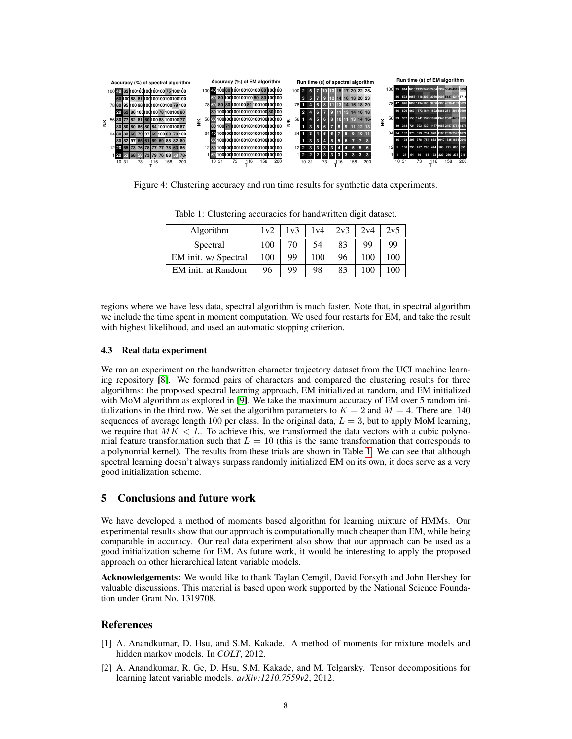

Figure 4: Clustering accuracy and run time results for synthetic data experiments.

| Algorithm            | 1v2 | 1v3 | 1v4 | 2v3 | 2v4 | 2v <sub>5</sub> |
|----------------------|-----|-----|-----|-----|-----|-----------------|
| Spectral             | 100 | 70  | 54  | 83  | 99  | 99              |
| EM init. w/ Spectral | 100 | 99  | 100 | 96  | 100 | 100             |
| EM init. at Random   | 96  | 99  | 98  | 83  | 100 | 100             |

Table 1: Clustering accuracies for handwritten digit dataset.

regions where we have less data, spectral algorithm is much faster. Note that, in spectral algorithm we include the time spent in moment computation. We used four restarts for EM, and take the result with highest likelihood, and used an automatic stopping criterion.

# 4.3 Real data experiment

We ran an experiment on the handwritten character trajectory dataset from the UCI machine learning repository [8]. We formed pairs of characters and compared the clustering results for three algorithms: the proposed spectral learning approach, EM initialized at random, and EM initialized with MoM algorithm as explored in [9]. We take the maximum accuracy of EM over 5 random initializations in the third row. We set the algorithm parameters to  $K = 2$  and  $M = 4$ . There are 140 sequences of average length 100 per class. In the original data,  $L = 3$ , but to apply MoM learning, we require that  $MK < L$ . To achieve this, we transformed the data vectors with a cubic polynomial feature transformation such that  $L = 10$  (this is the same transformation that corresponds to a polynomial kernel). The results from these trials are shown in Table 1. We can see that although spectral learning doesn't always surpass randomly initialized EM on its own, it does serve as a very good initialization scheme.

# 5 Conclusions and future work

We have developed a method of moments based algorithm for learning mixture of HMMs. Our experimental results show that our approach is computationally much cheaper than EM, while being comparable in accuracy. Our real data experiment also show that our approach can be used as a good initialization scheme for EM. As future work, it would be interesting to apply the proposed approach on other hierarchical latent variable models.

Acknowledgements: We would like to thank Taylan Cemgil, David Forsyth and John Hershey for valuable discussions. This material is based upon work supported by the National Science Foundation under Grant No. 1319708.

# References

- [1] A. Anandkumar, D. Hsu, and S.M. Kakade. A method of moments for mixture models and hidden markov models. In *COLT*, 2012.
- [2] A. Anandkumar, R. Ge, D. Hsu, S.M. Kakade, and M. Telgarsky. Tensor decompositions for learning latent variable models. *arXiv:1210.7559v2*, 2012.